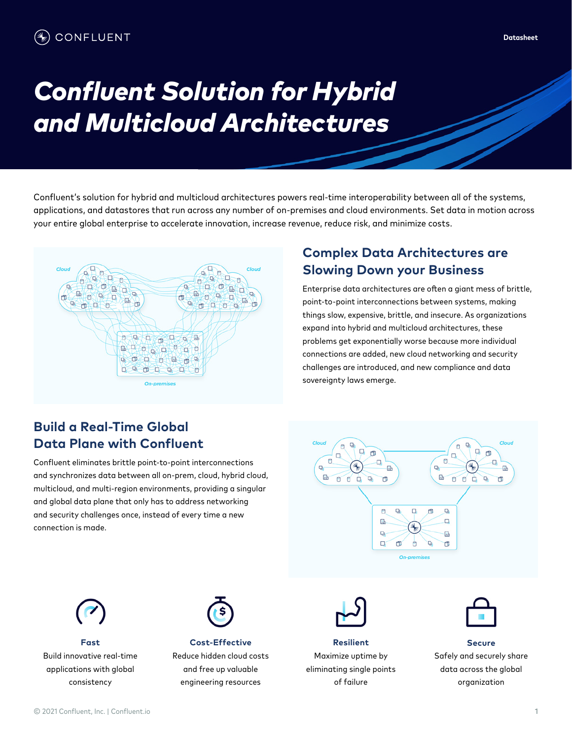# **Confluent Solution for Hybrid** *and Multicloud Architectures*

Confluent's solution for hybrid and multicloud architectures powers real-time interoperability between all of the systems, applications, and datastores that run across any number of on-premises and cloud environments. Set data in motion across your entire global enterprise to accelerate innovation, increase revenue, reduce risk, and minimize costs.



#### **Complex Data Architectures are Slowing Down your Business**

Enterprise data architectures are often a giant mess of brittle, point-to-point interconnections between systems, making things slow, expensive, brittle, and insecure. As organizations expand into hybrid and multicloud architectures, these problems get exponentially worse because more individual connections are added, new cloud networking and security challenges are introduced, and new compliance and data sovereignty laws emerge.

#### **Build a Real-Time Global Data Plane with Confluent**

Confluent eliminates brittle point-to-point interconnections and synchronizes data between all on-prem, cloud, hybrid cloud, multicloud, and multi-region environments, providing a singular and global data plane that only has to address networking and security challenges once, instead of every time a new connection is made.





**Fast** Build innovative real-time applications with global consistency



**Cost-Effective** Reduce hidden cloud costs and free up valuable engineering resources



**Resilient** Maximize uptime by eliminating single points of failure



**Secure** Safely and securely share data across the global organization